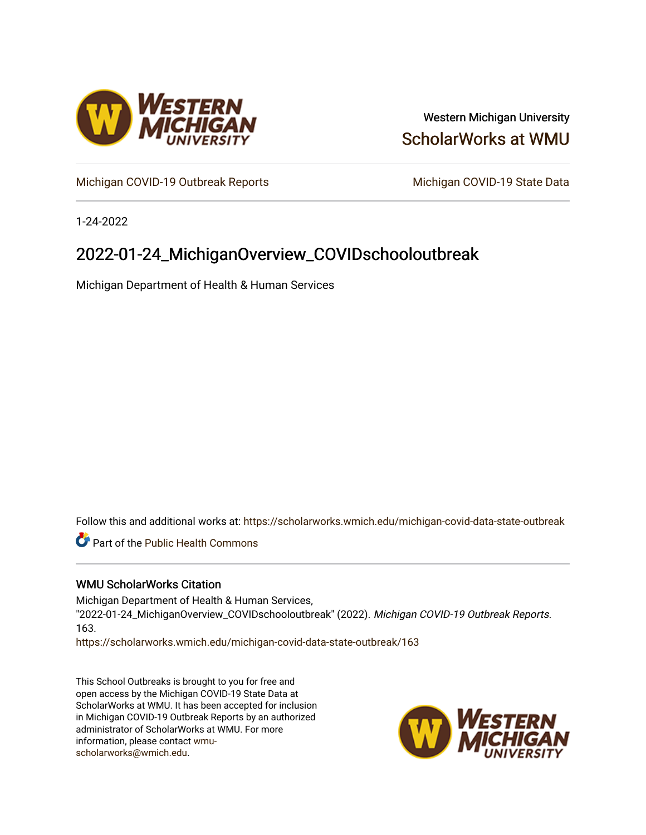

### Western Michigan University [ScholarWorks at WMU](https://scholarworks.wmich.edu/)

[Michigan COVID-19 Outbreak Reports](https://scholarworks.wmich.edu/michigan-covid-data-state-outbreak) Michigan COVID-19 State Data

1-24-2022

## 2022-01-24\_MichiganOverview\_COVIDschooloutbreak

Michigan Department of Health & Human Services

Follow this and additional works at: [https://scholarworks.wmich.edu/michigan-covid-data-state-outbreak](https://scholarworks.wmich.edu/michigan-covid-data-state-outbreak?utm_source=scholarworks.wmich.edu%2Fmichigan-covid-data-state-outbreak%2F163&utm_medium=PDF&utm_campaign=PDFCoverPages)

**Part of the Public Health Commons** 

#### WMU ScholarWorks Citation

Michigan Department of Health & Human Services, "2022-01-24\_MichiganOverview\_COVIDschooloutbreak" (2022). Michigan COVID-19 Outbreak Reports. 163.

[https://scholarworks.wmich.edu/michigan-covid-data-state-outbreak/163](https://scholarworks.wmich.edu/michigan-covid-data-state-outbreak/163?utm_source=scholarworks.wmich.edu%2Fmichigan-covid-data-state-outbreak%2F163&utm_medium=PDF&utm_campaign=PDFCoverPages) 

This School Outbreaks is brought to you for free and open access by the Michigan COVID-19 State Data at ScholarWorks at WMU. It has been accepted for inclusion in Michigan COVID-19 Outbreak Reports by an authorized administrator of ScholarWorks at WMU. For more information, please contact [wmu](mailto:wmu-scholarworks@wmich.edu)[scholarworks@wmich.edu.](mailto:wmu-scholarworks@wmich.edu)

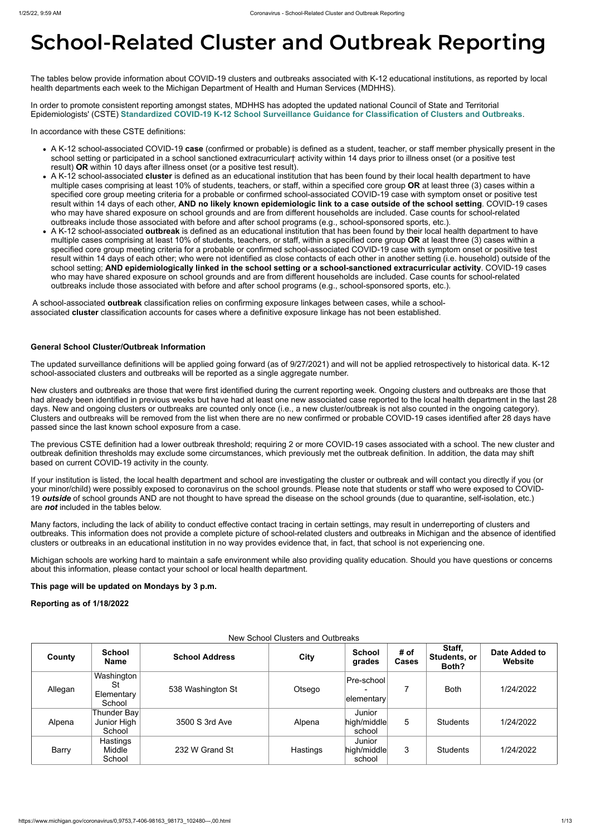# **School-Related Cluster and Outbreak Reporting**

The tables below provide information about COVID-19 clusters and outbreaks associated with K-12 educational institutions, as reported by local health departments each week to the Michigan Department of Health and Human Services (MDHHS).

In order to promote consistent reporting amongst states, MDHHS has adopted the updated national Council of State and Territorial Epidemiologists' (CSTE) **[Standardized COVID-19 K-12 School Surveillance Guidance for Classification of Clusters and Outbreaks](https://preparedness.cste.org/wp-content/uploads/2021/08/CSTE-Standardized-COVID-19-K-12-School-Surveillance-Guidance-for-Classification-of-Clusters-and-Outbreaks.pdf)**.

In accordance with these CSTE definitions:

- A K-12 school-associated COVID-19 **case** (confirmed or probable) is defined as a student, teacher, or staff member physically present in the school setting or participated in a school sanctioned extracurricular† activity within 14 days prior to illness onset (or a positive test result) **OR** within 10 days after illness onset (or a positive test result).
- A K-12 school-associated **cluster** is defined as an educational institution that has been found by their local health department to have multiple cases comprising at least 10% of students, teachers, or staff, within a specified core group **OR** at least three (3) cases within a specified core group meeting criteria for a probable or confirmed school-associated COVID-19 case with symptom onset or positive test result within 14 days of each other, **AND no likely known epidemiologic link to a case outside of the school setting**. COVID-19 cases who may have shared exposure on school grounds and are from different households are included. Case counts for school-related outbreaks include those associated with before and after school programs (e.g., school-sponsored sports, etc.).
- A K-12 school-associated **outbreak** is defined as an educational institution that has been found by their local health department to have multiple cases comprising at least 10% of students, teachers, or staff, within a specified core group **OR** at least three (3) cases within a specified core group meeting criteria for a probable or confirmed school-associated COVID-19 case with symptom onset or positive test result within 14 days of each other; who were not identified as close contacts of each other in another setting (i.e. household) outside of the school setting; **AND epidemiologically linked in the school setting or a school-sanctioned extracurricular activity**. COVID-19 cases who may have shared exposure on school grounds and are from different households are included. Case counts for school-related outbreaks include those associated with before and after school programs (e.g., school-sponsored sports, etc.).

A school-associated **outbreak** classification relies on confirming exposure linkages between cases, while a schoolassociated **cluster** classification accounts for cases where a definitive exposure linkage has not been established.

#### **General School Cluster/Outbreak Information**

The updated surveillance definitions will be applied going forward (as of 9/27/2021) and will not be applied retrospectively to historical data. K-12 school-associated clusters and outbreaks will be reported as a single aggregate number.

New clusters and outbreaks are those that were first identified during the current reporting week. Ongoing clusters and outbreaks are those that had already been identified in previous weeks but have had at least one new associated case reported to the local health department in the last 28 days. New and ongoing clusters or outbreaks are counted only once (i.e., a new cluster/outbreak is not also counted in the ongoing category). Clusters and outbreaks will be removed from the list when there are no new confirmed or probable COVID-19 cases identified after 28 days have passed since the last known school exposure from a case.

The previous CSTE definition had a lower outbreak threshold; requiring 2 or more COVID-19 cases associated with a school. The new cluster and outbreak definition thresholds may exclude some circumstances, which previously met the outbreak definition. In addition, the data may shift based on current COVID-19 activity in the county.

If your institution is listed, the local health department and school are investigating the cluster or outbreak and will contact you directly if you (or your minor/child) were possibly exposed to coronavirus on the school grounds. Please note that students or staff who were exposed to COVID-19 *outside* of school grounds AND are not thought to have spread the disease on the school grounds (due to quarantine, self-isolation, etc.) are *not* included in the tables below.

Many factors, including the lack of ability to conduct effective contact tracing in certain settings, may result in underreporting of clusters and outbreaks. This information does not provide a complete picture of school-related clusters and outbreaks in Michigan and the absence of identified clusters or outbreaks in an educational institution in no way provides evidence that, in fact, that school is not experiencing one.

Michigan schools are working hard to maintain a safe environment while also providing quality education. Should you have questions or concerns about this information, please contact your school or local health department.

**This page will be updated on Mondays by 3 p.m.**

**Reporting as of 1/18/2022**

New School Clusters and Outbreaks

| County       | <b>School</b><br><b>Name</b>                    | <b>School Address</b> | <b>City</b> | <b>School</b><br>grades         | # of<br><b>Cases</b> | Staff,<br>Students, or<br>Both? | Date Added to<br><b>Website</b> |
|--------------|-------------------------------------------------|-----------------------|-------------|---------------------------------|----------------------|---------------------------------|---------------------------------|
| Allegan      | Washington<br><b>St</b><br>Elementary<br>School | 538 Washington St     | Otsego      | Pre-school<br> elementary       |                      | <b>Both</b>                     | 1/24/2022                       |
| Alpena       | Thunder Bay<br>Junior High<br>School            | 3500 S 3rd Ave        | Alpena      | Junior<br>high/middle<br>school | 5                    | Students                        | 1/24/2022                       |
| <b>Barry</b> | Hastings<br>Middle<br>School                    | 232 W Grand St        | Hastings    | Junior<br>high/middle<br>school | 3                    | Students                        | 1/24/2022                       |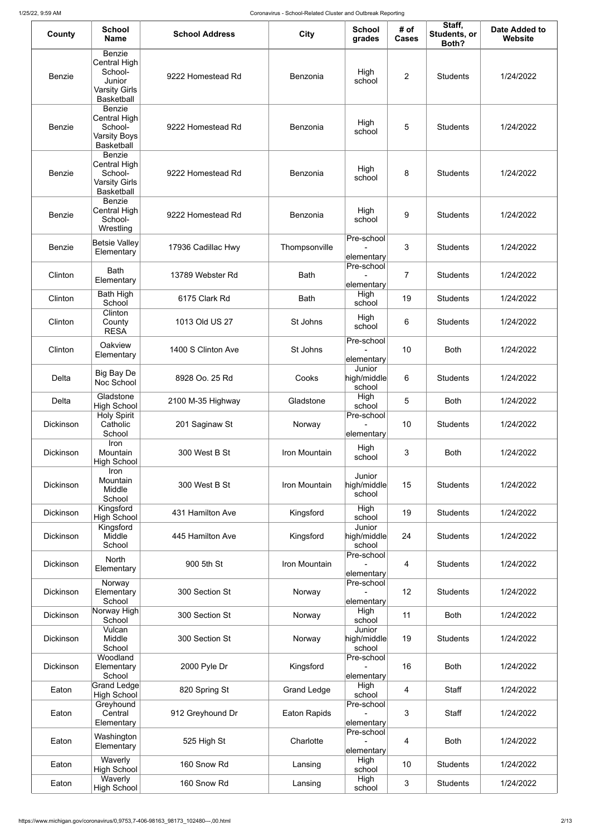| County           | <b>School</b><br><b>Name</b>                                                             | <b>School Address</b> | <b>City</b>         | <b>School</b><br>grades         | # of<br><b>Cases</b> | Staff,<br>Students, or<br>Both? | Date Added to<br>Website |
|------------------|------------------------------------------------------------------------------------------|-----------------------|---------------------|---------------------------------|----------------------|---------------------------------|--------------------------|
| <b>Benzie</b>    | Benzie<br>Central High<br>School-<br>Junior<br><b>Varsity Girls</b><br><b>Basketball</b> | 9222 Homestead Rd     | Benzonia            | High<br>school                  | 2                    | <b>Students</b>                 | 1/24/2022                |
| <b>Benzie</b>    | <b>Benzie</b><br>Central High<br>School-<br><b>Varsity Boys</b><br><b>Basketball</b>     | 9222 Homestead Rd     | Benzonia            | High<br>school                  | 5                    | <b>Students</b>                 | 1/24/2022                |
| <b>Benzie</b>    | <b>Benzie</b><br>Central High<br>School-<br><b>Varsity Girls</b><br><b>Basketball</b>    | 9222 Homestead Rd     | Benzonia            | High<br>school                  | 8                    | <b>Students</b>                 | 1/24/2022                |
| <b>Benzie</b>    | <b>Benzie</b><br>Central High<br>School-<br>Wrestling                                    | 9222 Homestead Rd     | Benzonia            | High<br>school                  | 9                    | <b>Students</b>                 | 1/24/2022                |
| <b>Benzie</b>    | Betsie Valley<br>Elementary                                                              | 17936 Cadillac Hwy    | Thompsonville       | Pre-school<br>elementary        | $\mathbf{3}$         | <b>Students</b>                 | 1/24/2022                |
| Clinton          | <b>Bath</b><br>Elementary                                                                | 13789 Webster Rd      | <b>Bath</b>         | Pre-school<br>elementary        | $\overline{7}$       | <b>Students</b>                 | 1/24/2022                |
| Clinton          | <b>Bath High</b><br>School                                                               | 6175 Clark Rd         | <b>Bath</b>         | High<br>school                  | 19                   | <b>Students</b>                 | 1/24/2022                |
| Clinton          | Clinton<br>County<br><b>RESA</b>                                                         | 1013 Old US 27        | St Johns            | High<br>school                  | 6                    | <b>Students</b>                 | 1/24/2022                |
| Clinton          | Oakview<br>Elementary                                                                    | 1400 S Clinton Ave    | St Johns            | Pre-school<br>elementary        | 10                   | <b>Both</b>                     | 1/24/2022                |
| <b>Delta</b>     | <b>Big Bay De</b><br>Noc School                                                          | 8928 Oo. 25 Rd        | Cooks               | Junior<br>high/middle<br>school | 6                    | <b>Students</b>                 | 1/24/2022                |
| Delta            | Gladstone<br><b>High School</b>                                                          | 2100 M-35 Highway     | Gladstone           | High<br>school                  | 5                    | <b>Both</b>                     | 1/24/2022                |
| <b>Dickinson</b> | <b>Holy Spirit</b><br>Catholic<br>School                                                 | 201 Saginaw St        | Norway              | Pre-school<br>elementary        | 10                   | <b>Students</b>                 | 1/24/2022                |
| <b>Dickinson</b> | Iron<br>Mountain<br><b>High School</b>                                                   | 300 West B St         | Iron Mountain       | High<br>school                  | 3                    | <b>Both</b>                     | 1/24/2022                |
| <b>Dickinson</b> | Iron<br>Mountain<br>Middle<br>School                                                     | 300 West B St         | Iron Mountain       | Junior<br>high/middle<br>school | 15                   | <b>Students</b>                 | 1/24/2022                |
| <b>Dickinson</b> | Kingsford<br><b>High School</b>                                                          | 431 Hamilton Ave      | Kingsford           | High<br>school                  | 19                   | <b>Students</b>                 | 1/24/2022                |
| <b>Dickinson</b> | Kingsford<br>Middle<br>School                                                            | 445 Hamilton Ave      | Kingsford           | Junior<br>high/middle<br>school | 24                   | <b>Students</b>                 | 1/24/2022                |
| Dickinson        | <b>North</b><br>Elementary                                                               | 900 5th St            | Iron Mountain       | Pre-school<br>elementary        | $\overline{4}$       | <b>Students</b>                 | 1/24/2022                |
| <b>Dickinson</b> | Norway<br>Elementary<br>School                                                           | 300 Section St        | Norway              | Pre-school<br>elementary        | 12                   | <b>Students</b>                 | 1/24/2022                |
| <b>Dickinson</b> | ∣Norway High∣<br>School                                                                  | 300 Section St        | Norway              | High<br>school                  | 11                   | <b>Both</b>                     | 1/24/2022                |
| <b>Dickinson</b> | Vulcan<br>Middle<br>School                                                               | 300 Section St        | Norway              | Junior<br>high/middle<br>school | 19                   | <b>Students</b>                 | 1/24/2022                |
| <b>Dickinson</b> | Woodland<br>Elementary<br>School                                                         | 2000 Pyle Dr          | Kingsford           | Pre-school<br>elementary        | 16                   | <b>Both</b>                     | 1/24/2022                |
| Eaton            | Grand Ledge<br><b>High School</b>                                                        | 820 Spring St         | <b>Grand Ledge</b>  | High<br>school                  | 4                    | Staff                           | 1/24/2022                |
| Eaton            | Greyhound<br>Central<br>Elementary                                                       | 912 Greyhound Dr      | <b>Eaton Rapids</b> | Pre-school<br>elementary        | $\mathbf{3}$         | Staff                           | 1/24/2022                |
| Eaton            | Washington<br>Elementary                                                                 | 525 High St           | Charlotte           | Pre-school<br>elementary        | $\overline{4}$       | <b>Both</b>                     | 1/24/2022                |
| Eaton            | Waverly<br><b>High School</b>                                                            | 160 Snow Rd           | Lansing             | High<br>school                  | 10                   | <b>Students</b>                 | 1/24/2022                |
| Eaton            | Waverly<br>High School                                                                   | 160 Snow Rd           | Lansing             | High<br>school                  | $\mathfrak{S}$       | <b>Students</b>                 | 1/24/2022                |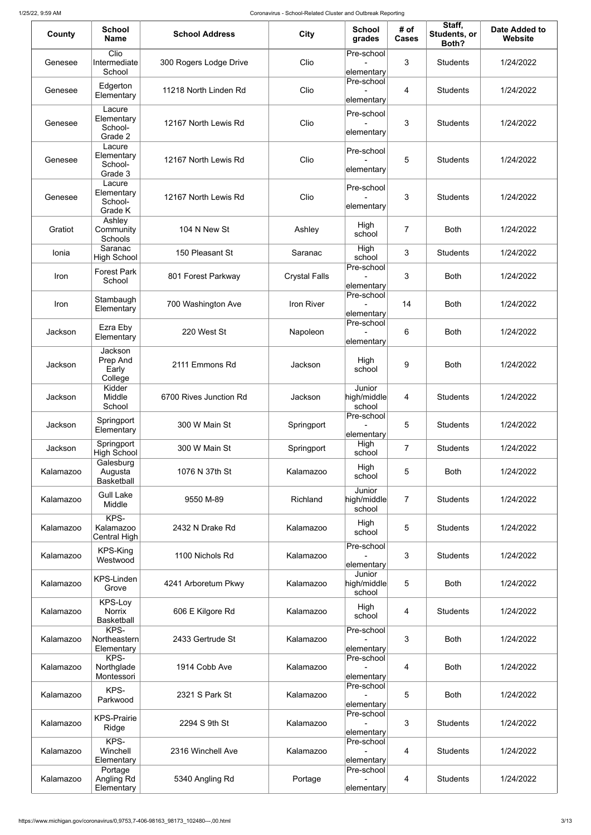| County    | <b>School</b><br><b>Name</b>                  | <b>School Address</b>  | <b>City</b>          | <b>School</b><br>grades         | # of<br><b>Cases</b> | Staff,<br>Students, or<br>Both? | Date Added to<br>Website |
|-----------|-----------------------------------------------|------------------------|----------------------|---------------------------------|----------------------|---------------------------------|--------------------------|
| Genesee   | Clio<br>Intermediate<br>School                | 300 Rogers Lodge Drive | Clio                 | Pre-school<br>elementary        | 3                    | <b>Students</b>                 | 1/24/2022                |
| Genesee   | Edgerton<br>Elementary                        | 11218 North Linden Rd  | Clio                 | Pre-school<br>elementary        | 4                    | <b>Students</b>                 | 1/24/2022                |
| Genesee   | Lacure<br>Elementary<br>School-<br>Grade 2    | 12167 North Lewis Rd   | Clio                 | Pre-school<br>elementary        | 3                    | <b>Students</b>                 | 1/24/2022                |
| Genesee   | Lacure<br>Elementary<br>School-<br>Grade 3    | 12167 North Lewis Rd   | Clio                 | Pre-school<br>elementary        | 5                    | <b>Students</b>                 | 1/24/2022                |
| Genesee   | Lacure<br>Elementary<br>School-<br>Grade K    | 12167 North Lewis Rd   | Clio                 | Pre-school<br>elementary        | 3                    | <b>Students</b>                 | 1/24/2022                |
| Gratiot   | Ashley<br>Community<br>Schools                | 104 N New St           | Ashley               | High<br>school                  | $\overline{7}$       | <b>Both</b>                     | 1/24/2022                |
| Ionia     | Saranac<br><b>High School</b>                 | 150 Pleasant St        | Saranac              | High<br>school                  | 3                    | <b>Students</b>                 | 1/24/2022                |
| Iron      | <b>Forest Park</b><br>School                  | 801 Forest Parkway     | <b>Crystal Falls</b> | Pre-school<br>elementary        | 3                    | <b>Both</b>                     | 1/24/2022                |
| Iron      | Stambaugh<br>Elementary                       | 700 Washington Ave     | Iron River           | Pre-school<br>elementary        | 14                   | <b>Both</b>                     | 1/24/2022                |
| Jackson   | Ezra Eby<br>Elementary                        | 220 West St            | Napoleon             | Pre-school<br>elementary        | 6                    | <b>Both</b>                     | 1/24/2022                |
| Jackson   | Jackson<br>Prep And<br>Early<br>College       | 2111 Emmons Rd         | Jackson              | High<br>school                  | $\overline{9}$       | <b>Both</b>                     | 1/24/2022                |
| Jackson   | Kidder<br>Middle<br>School                    | 6700 Rives Junction Rd | Jackson              | Junior<br>high/middle<br>school | 4                    | <b>Students</b>                 | 1/24/2022                |
| Jackson   | Springport<br>Elementary                      | 300 W Main St          | Springport           | Pre-school<br>elementary        | 5                    | <b>Students</b>                 | 1/24/2022                |
| Jackson   | Springport<br><b>High School</b>              | 300 W Main St          | Springport           | High<br>school                  | $\overline{7}$       | <b>Students</b>                 | 1/24/2022                |
| Kalamazoo | Galesburg<br>Augusta<br><b>Basketball</b>     | 1076 N 37th St         | Kalamazoo            | High<br>school                  | 5                    | <b>Both</b>                     | 1/24/2022                |
| Kalamazoo | <b>Gull Lake</b><br>Middle                    | 9550 M-89              | Richland             | Junior<br>high/middle<br>school | $\overline{7}$       | <b>Students</b>                 | 1/24/2022                |
| Kalamazoo | KPS-<br>Kalamazoo<br><b>Central High</b>      | 2432 N Drake Rd        | Kalamazoo            | High<br>school                  | 5                    | <b>Students</b>                 | 1/24/2022                |
| Kalamazoo | KPS-King<br>Westwood                          | 1100 Nichols Rd        | Kalamazoo            | Pre-school<br>elementary        | 3                    | <b>Students</b>                 | 1/24/2022                |
| Kalamazoo | <b>KPS-Linden</b><br>Grove                    | 4241 Arboretum Pkwy    | Kalamazoo            | Junior<br>high/middle<br>school | 5                    | <b>Both</b>                     | 1/24/2022                |
| Kalamazoo | KPS-Loy<br><b>Norrix</b><br><b>Basketball</b> | 606 E Kilgore Rd       | Kalamazoo            | High<br>school                  | 4                    | <b>Students</b>                 | 1/24/2022                |
| Kalamazoo | KPS-<br>Northeastern<br>Elementary            | 2433 Gertrude St       | Kalamazoo            | Pre-school<br>elementary        | 3                    | <b>Both</b>                     | 1/24/2022                |
| Kalamazoo | KPS-<br>Northglade<br>Montessori              | 1914 Cobb Ave          | Kalamazoo            | Pre-school<br>elementary        | 4                    | <b>Both</b>                     | 1/24/2022                |
| Kalamazoo | KPS-<br>Parkwood                              | 2321 S Park St         | Kalamazoo            | Pre-school<br>elementary        | 5                    | <b>Both</b>                     | 1/24/2022                |
| Kalamazoo | <b>KPS-Prairie</b><br>Ridge                   | 2294 S 9th St          | Kalamazoo            | Pre-school<br>elementary        | 3                    | <b>Students</b>                 | 1/24/2022                |
| Kalamazoo | KPS-<br>Winchell<br>Elementary                | 2316 Winchell Ave      | Kalamazoo            | Pre-school<br>elementary        | 4                    | <b>Students</b>                 | 1/24/2022                |
| Kalamazoo | Portage<br>Angling Rd<br>Elementary           | 5340 Angling Rd        | Portage              | Pre-school<br>elementary        | 4                    | <b>Students</b>                 | 1/24/2022                |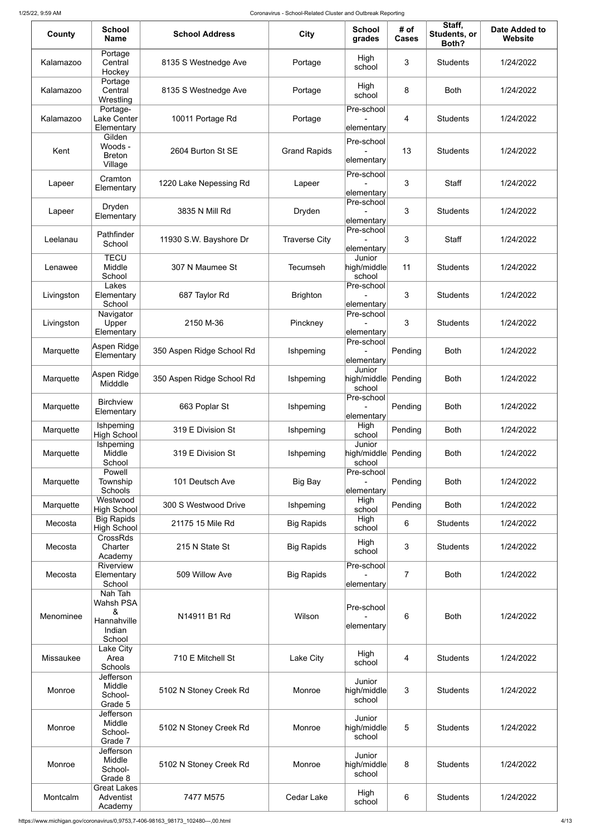| County     | <b>School</b><br><b>Name</b>                               | <b>School Address</b>     | <b>City</b>          | <b>School</b><br>grades                 | # of<br><b>Cases</b> | Staff,<br>Students, or<br>Both? | Date Added to<br>Website |
|------------|------------------------------------------------------------|---------------------------|----------------------|-----------------------------------------|----------------------|---------------------------------|--------------------------|
| Kalamazoo  | Portage<br>Central<br>Hockey                               | 8135 S Westnedge Ave      | Portage              | High<br>school                          | 3                    | <b>Students</b>                 | 1/24/2022                |
| Kalamazoo  | Portage<br>Central<br>Wrestling                            | 8135 S Westnedge Ave      | Portage              | High<br>school                          | 8                    | <b>Both</b>                     | 1/24/2022                |
| Kalamazoo  | Portage-<br>Lake Center<br>Elementary                      | 10011 Portage Rd          | Portage              | Pre-school<br>elementary                | 4                    | <b>Students</b>                 | 1/24/2022                |
| Kent       | Gilden<br>Woods -<br><b>Breton</b><br>Village              | 2604 Burton St SE         | <b>Grand Rapids</b>  | Pre-school<br>elementary                | 13                   | <b>Students</b>                 | 1/24/2022                |
| Lapeer     | Cramton<br>Elementary                                      | 1220 Lake Nepessing Rd    | Lapeer               | Pre-school<br>elementary                | 3                    | <b>Staff</b>                    | 1/24/2022                |
| Lapeer     | Dryden<br>Elementary                                       | 3835 N Mill Rd            | Dryden               | Pre-school<br>elementary                | 3                    | <b>Students</b>                 | 1/24/2022                |
| Leelanau   | Pathfinder<br>School                                       | 11930 S.W. Bayshore Dr    | <b>Traverse City</b> | Pre-school<br>elementary                | 3                    | <b>Staff</b>                    | 1/24/2022                |
| Lenawee    | <b>TECU</b><br>Middle<br>School                            | 307 N Maumee St           | <b>Tecumseh</b>      | Junior<br>high/middle<br>school         | 11                   | <b>Students</b>                 | 1/24/2022                |
| Livingston | Lakes<br>Elementary<br>School                              | 687 Taylor Rd             | <b>Brighton</b>      | Pre-school<br>elementary                | 3                    | <b>Students</b>                 | 1/24/2022                |
| Livingston | Navigator<br>Upper<br>Elementary                           | 2150 M-36                 | Pinckney             | Pre-school<br>$ $ elementary $ $        | 3                    | <b>Students</b>                 | 1/24/2022                |
| Marquette  | Aspen Ridge<br>Elementary                                  | 350 Aspen Ridge School Rd | Ishpeming            | Pre-school<br>elementary                | Pending              | <b>Both</b>                     | 1/24/2022                |
| Marquette  | Aspen Ridge<br>Midddle                                     | 350 Aspen Ridge School Rd | Ishpeming            | Junior<br>high/middle Pending<br>school |                      | <b>Both</b>                     | 1/24/2022                |
| Marquette  | <b>Birchview</b><br>Elementary                             | 663 Poplar St             | Ishpeming            | Pre-school<br>elementary                | Pending              | <b>Both</b>                     | 1/24/2022                |
| Marquette  | Ishpeming<br><b>High School</b>                            | 319 E Division St         | Ishpeming            | High<br>school                          | Pending              | <b>Both</b>                     | 1/24/2022                |
| Marquette  | Ishpeming<br>Middle<br>School                              | 319 E Division St         | Ishpeming            | Junior<br>high/middle<br>school         | Pending              | <b>Both</b>                     | 1/24/2022                |
| Marquette  | Powell<br>Township<br>Schools                              | 101 Deutsch Ave           | <b>Big Bay</b>       | Pre-school<br>elementary                | Pending              | <b>Both</b>                     | 1/24/2022                |
| Marquette  | Westwood<br><b>High School</b>                             | 300 S Westwood Drive      | Ishpeming            | High<br>school                          | Pending              | <b>Both</b>                     | 1/24/2022                |
| Mecosta    | <b>Big Rapids</b><br><b>High School</b><br><b>CrossRds</b> | 21175 15 Mile Rd          | <b>Big Rapids</b>    | High<br>school                          | 6                    | <b>Students</b>                 | 1/24/2022                |
| Mecosta    | Charter<br>Academy<br>Riverview                            | 215 N State St            | <b>Big Rapids</b>    | High<br>school<br>Pre-school            | 3                    | <b>Students</b>                 | 1/24/2022                |
| Mecosta    | Elementary<br>School<br>Nah Tah                            | 509 Willow Ave            | <b>Big Rapids</b>    | elementary                              | $\overline{7}$       | <b>Both</b>                     | 1/24/2022                |
| Menominee  | Wahsh PSA<br>&<br>Hannahville<br>Indian<br>School          | N14911 B1 Rd              | Wilson               | Pre-school<br>elementary                | 6                    | <b>Both</b>                     | 1/24/2022                |
| Missaukee  | Lake City<br>Area<br>Schools                               | 710 E Mitchell St         | Lake City            | High<br>school                          | 4                    | <b>Students</b>                 | 1/24/2022                |
| Monroe     | Jefferson<br>Middle<br>School-<br>Grade 5                  | 5102 N Stoney Creek Rd    | Monroe               | Junior<br>high/middle<br>school         | 3                    | <b>Students</b>                 | 1/24/2022                |
| Monroe     | Jefferson<br>Middle<br>School-<br>Grade 7                  | 5102 N Stoney Creek Rd    | Monroe               | Junior<br>high/middle<br>school         | 5                    | <b>Students</b>                 | 1/24/2022                |
| Monroe     | Jefferson<br>Middle<br>School-<br>Grade 8                  | 5102 N Stoney Creek Rd    | Monroe               | Junior<br>high/middle<br>school         | 8                    | <b>Students</b>                 | 1/24/2022                |
| Montcalm   | <b>Great Lakes</b><br>Adventist<br>Academy                 | 7477 M575                 | Cedar Lake           | High<br>school                          | $6\,$                | <b>Students</b>                 | 1/24/2022                |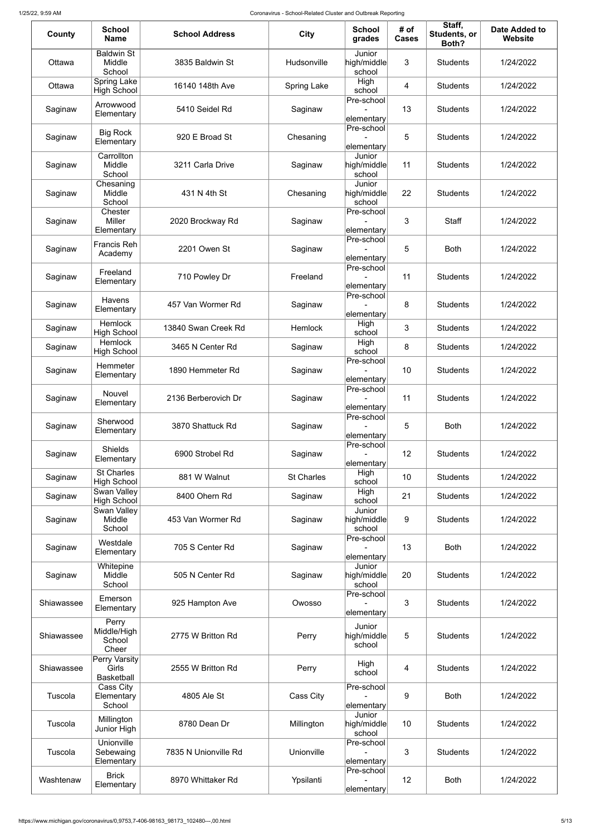| County     | <b>School</b><br><b>Name</b>                | <b>School Address</b> | <b>City</b>        | <b>School</b><br>grades            | # of<br><b>Cases</b> | Staff,<br><b>Students, or</b><br>Both? | <b>Date Added to</b><br><b>Website</b> |
|------------|---------------------------------------------|-----------------------|--------------------|------------------------------------|----------------------|----------------------------------------|----------------------------------------|
| Ottawa     | <b>Baldwin St</b><br>Middle<br>School       | 3835 Baldwin St       | Hudsonville        | Junior<br>high/middle<br>school    | 3                    | <b>Students</b>                        | 1/24/2022                              |
| Ottawa     | <b>Spring Lake</b><br><b>High School</b>    | 16140 148th Ave       | <b>Spring Lake</b> | High<br>school                     | 4                    | <b>Students</b>                        | 1/24/2022                              |
| Saginaw    | Arrowwood<br>Elementary                     | 5410 Seidel Rd        | Saginaw            | Pre-school<br>elementary           | 13                   | <b>Students</b>                        | 1/24/2022                              |
| Saginaw    | Big Rock<br>Elementary                      | 920 E Broad St        | Chesaning          | Pre-school<br>elementary           | 5                    | <b>Students</b>                        | 1/24/2022                              |
| Saginaw    | Carrollton<br>Middle<br>School              | 3211 Carla Drive      | Saginaw            | Junior<br>high/middle<br>school    | 11                   | <b>Students</b>                        | 1/24/2022                              |
| Saginaw    | Chesaning<br>Middle<br>School               | 431 N 4th St          | Chesaning          | Junior<br>high/middle<br>school    | 22                   | <b>Students</b>                        | 1/24/2022                              |
| Saginaw    | Chester<br>Miller<br>Elementary             | 2020 Brockway Rd      | Saginaw            | Pre-school<br>elementary           | 3                    | <b>Staff</b>                           | 1/24/2022                              |
| Saginaw    | <b>Francis Reh</b><br>Academy               | 2201 Owen St          | Saginaw            | Pre-school<br>elementary           | 5                    | <b>Both</b>                            | 1/24/2022                              |
| Saginaw    | Freeland<br>Elementary                      | 710 Powley Dr         | Freeland           | Pre-school<br>elementary           | 11                   | <b>Students</b>                        | 1/24/2022                              |
| Saginaw    | <b>Havens</b><br>Elementary                 | 457 Van Wormer Rd     | Saginaw            | Pre-school<br>elementary           | 8                    | <b>Students</b>                        | 1/24/2022                              |
| Saginaw    | <b>Hemlock</b><br><b>High School</b>        | 13840 Swan Creek Rd   | Hemlock            | High<br>school                     | 3                    | <b>Students</b>                        | 1/24/2022                              |
| Saginaw    | <b>Hemlock</b><br><b>High School</b>        | 3465 N Center Rd      | Saginaw            | High<br>school<br>Pre-school       | 8                    | <b>Students</b>                        | 1/24/2022                              |
| Saginaw    | Hemmeter<br>Elementary                      | 1890 Hemmeter Rd      | Saginaw            | elementary                         | 10                   | <b>Students</b>                        | 1/24/2022                              |
| Saginaw    | Nouvel<br>Elementary                        | 2136 Berberovich Dr   | Saginaw            | Pre-school<br>elementary           | 11                   | <b>Students</b>                        | 1/24/2022                              |
| Saginaw    | Sherwood<br>Elementary                      | 3870 Shattuck Rd      | Saginaw            | Pre-school<br>elementary           | 5                    | <b>Both</b>                            | 1/24/2022                              |
| Saginaw    | <b>Shields</b><br>Elementary                | 6900 Strobel Rd       | Saginaw            | Pre-school<br>elementary           | 12                   | <b>Students</b>                        | 1/24/2022                              |
| Saginaw    | <b>St Charles</b><br><b>High School</b>     | 881 W Walnut          | <b>St Charles</b>  | High<br>school                     | 10                   | <b>Students</b>                        | 1/24/2022                              |
| Saginaw    | Swan Valley<br><b>High School</b>           | 8400 Ohern Rd         | Saginaw            | High<br>school                     | 21                   | <b>Students</b>                        | 1/24/2022                              |
| Saginaw    | Swan Valley<br>Middle<br>School             | 453 Van Wormer Rd     | Saginaw            | Junior<br>high/middle<br>school    | 9                    | <b>Students</b>                        | 1/24/2022                              |
| Saginaw    | Westdale<br>Elementary                      | 705 S Center Rd       | Saginaw            | Pre-school<br>elementary           | 13                   | <b>Both</b>                            | 1/24/2022                              |
| Saginaw    | Whitepine<br>Middle<br>School               | 505 N Center Rd       | Saginaw            | Junior<br>high/middle<br>school    | 20                   | <b>Students</b>                        | 1/24/2022                              |
| Shiawassee | Emerson<br>Elementary                       | 925 Hampton Ave       | Owosso             | Pre-school<br>elementary           | 3                    | <b>Students</b>                        | 1/24/2022                              |
| Shiawassee | Perry<br>Middle/High<br>School<br>Cheer     | 2775 W Britton Rd     | Perry              | Junior<br>$h$ igh/middle<br>school | $5\phantom{.0}$      | <b>Students</b>                        | 1/24/2022                              |
| Shiawassee | Perry Varsity<br>Girls<br><b>Basketball</b> | 2555 W Britton Rd     | Perry              | High<br>school                     | 4                    | <b>Students</b>                        | 1/24/2022                              |
| Tuscola    | Cass City<br>Elementary<br>School           | 4805 Ale St           | Cass City          | Pre-school<br>elementary           | 9                    | <b>Both</b>                            | 1/24/2022                              |
| Tuscola    | Millington<br>Junior High                   | 8780 Dean Dr          | Millington         | Junior<br>high/middle<br>school    | 10                   | <b>Students</b>                        | 1/24/2022                              |
| Tuscola    | Unionville<br>Sebewaing<br>Elementary       | 7835 N Unionville Rd  | Unionville         | Pre-school<br>$ $ elementary       | 3                    | <b>Students</b>                        | 1/24/2022                              |
| Washtenaw  | <b>Brick</b><br>Elementary                  | 8970 Whittaker Rd     | Ypsilanti          | Pre-school<br>$ $ elementary $ $   | 12                   | <b>Both</b>                            | 1/24/2022                              |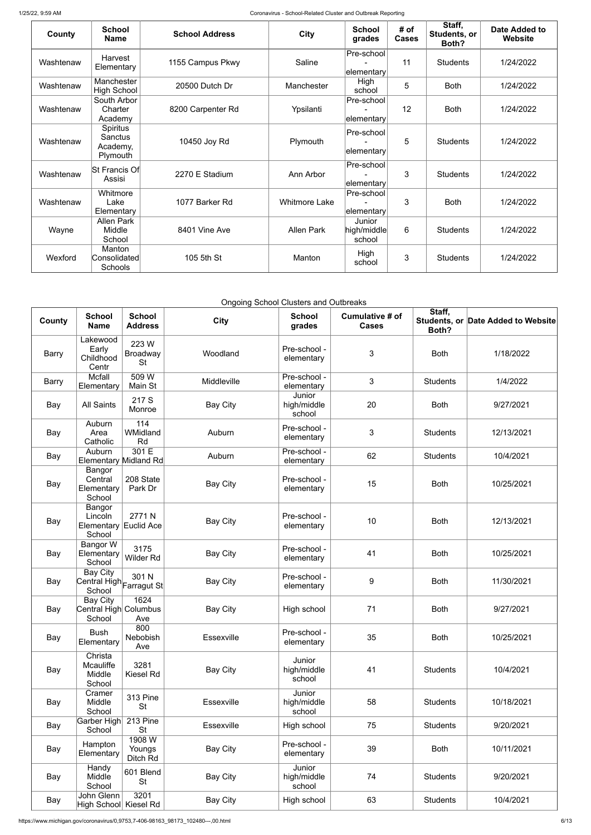| County    | <b>School</b><br><b>Name</b>                       | <b>School Address</b> | <b>City</b>          | <b>School</b><br>grades         | # of<br><b>Cases</b> | Staff,<br>Students, or<br>Both? | Date Added to<br><b>Website</b> |
|-----------|----------------------------------------------------|-----------------------|----------------------|---------------------------------|----------------------|---------------------------------|---------------------------------|
| Washtenaw | Harvest<br>Elementary                              | 1155 Campus Pkwy      | Saline               | Pre-school<br> elementary       | 11                   | <b>Students</b>                 | 1/24/2022                       |
| Washtenaw | Manchester<br><b>High School</b>                   | 20500 Dutch Dr        | Manchester           | High<br>school                  | 5                    | <b>Both</b>                     | 1/24/2022                       |
| Washtenaw | South Arbor<br>Charter<br>Academy                  | 8200 Carpenter Rd     | Ypsilanti            | Pre-school<br>elementary        | 12                   | <b>Both</b>                     | 1/24/2022                       |
| Washtenaw | Spiritus<br><b>Sanctus</b><br>Academy,<br>Plymouth | 10450 Joy Rd          | Plymouth             | Pre-school<br>elementary        | 5                    | <b>Students</b>                 | 1/24/2022                       |
| Washtenaw | St Francis Of<br>Assisi                            | 2270 E Stadium        | Ann Arbor            | Pre-school<br>∣elementary∣      | 3                    | <b>Students</b>                 | 1/24/2022                       |
| Washtenaw | Whitmore<br>Lake<br>Elementary                     | 1077 Barker Rd        | <b>Whitmore Lake</b> | Pre-school<br>∣elementary∣      | 3                    | <b>Both</b>                     | 1/24/2022                       |
| Wayne     | <b>Allen Park</b><br>Middle<br>School              | 8401 Vine Ave         | <b>Allen Park</b>    | Junior<br>high/middle<br>school | $6\phantom{1}$       | <b>Students</b>                 | 1/24/2022                       |
| Wexford   | Manton<br>Consolidated<br><b>Schools</b>           | 105 5th St            | Manton               | High<br>school                  | 3                    | <b>Students</b>                 | 1/24/2022                       |

Ongoing School Clusters and Outbreaks

| County       | <b>School</b><br><b>Name</b>                                       | <b>School</b><br><b>Address</b>       | <b>City</b>       | <b>School</b><br>grades         | <b>Cumulative # of</b><br><b>Cases</b> | Staff,<br>Both? | Students, or Date Added to Website |
|--------------|--------------------------------------------------------------------|---------------------------------------|-------------------|---------------------------------|----------------------------------------|-----------------|------------------------------------|
| <b>Barry</b> | Lakewood<br>Early<br>Childhood<br>Centr                            | 223 W<br><b>Broadway</b><br><b>St</b> | Woodland          | Pre-school -<br>elementary      | $\mathfrak{B}$                         | <b>Both</b>     | 1/18/2022                          |
| <b>Barry</b> | Mcfall<br>Elementary                                               | 509 W<br>Main St                      | Middleville       | Pre-school -<br>elementary      | 3                                      | <b>Students</b> | 1/4/2022                           |
| Bay          | <b>All Saints</b>                                                  | 217 S<br>Monroe                       | <b>Bay City</b>   | Junior<br>high/middle<br>school | 20                                     | <b>Both</b>     | 9/27/2021                          |
| Bay          | Auburn<br>Area<br>Catholic                                         | 114<br>WMidland<br>Rd                 | Auburn            | Pre-school -<br>elementary      | 3                                      | <b>Students</b> | 12/13/2021                         |
| Bay          | Auburn<br><b>Elementary Midland Rd</b>                             | 301 E                                 | Auburn            | Pre-school -<br>elementary      | 62                                     | <b>Students</b> | 10/4/2021                          |
| Bay          | Bangor<br>Central<br>Elementary<br>School                          | 208 State<br>Park Dr                  | <b>Bay City</b>   | Pre-school -<br>elementary      | 15                                     | <b>Both</b>     | 10/25/2021                         |
| Bay          | Bangor<br>Lincoln<br>Elementary Euclid Ace<br>School               | 2771N                                 | <b>Bay City</b>   | Pre-school -<br>elementary      | 10                                     | <b>Both</b>     | 12/13/2021                         |
| Bay          | Bangor W<br>Elementary<br>School                                   | 3175<br><b>Wilder Rd</b>              | <b>Bay City</b>   | Pre-school -<br>elementary      | 41                                     | <b>Both</b>     | 10/25/2021                         |
| Bay          | Bay City<br>$\overline{\text{Central High}}$ Farragut St<br>School | 301 N                                 | <b>Bay City</b>   | Pre-school -<br>elementary      | $9\,$                                  | <b>Both</b>     | 11/30/2021                         |
| Bay          | <b>Bay City</b><br>Central High Columbus<br>School                 | 1624<br>Ave                           | <b>Bay City</b>   | High school                     | 71                                     | <b>Both</b>     | 9/27/2021                          |
| Bay          | <b>Bush</b><br>Elementary                                          | 800<br>Nebobish<br>Ave                | <b>Essexville</b> | Pre-school -<br>elementary      | 35                                     | <b>Both</b>     | 10/25/2021                         |
| Bay          | Christa<br>Mcauliffe<br>Middle<br>School                           | 3281<br>Kiesel Rd                     | <b>Bay City</b>   | Junior<br>high/middle<br>school | 41                                     | <b>Students</b> | 10/4/2021                          |
| Bay          | Cramer<br>Middle<br>School                                         | 313 Pine<br><b>St</b>                 | Essexville        | Junior<br>high/middle<br>school | 58                                     | <b>Students</b> | 10/18/2021                         |
| Bay          | Garber High<br>School                                              | 213 Pine<br><b>St</b>                 | Essexville        | High school                     | 75                                     | <b>Students</b> | 9/20/2021                          |
| Bay          | Hampton<br>Elementary                                              | 1908 W<br>Youngs<br>Ditch Rd          | <b>Bay City</b>   | Pre-school -<br>elementary      | 39                                     | <b>Both</b>     | 10/11/2021                         |
| Bay          | Handy<br>Middle<br>School                                          | 601 Blend<br><b>St</b>                | <b>Bay City</b>   | Junior<br>high/middle<br>school | 74                                     | <b>Students</b> | 9/20/2021                          |
| Bay          | John Glenn<br>High School Kiesel Rd                                | 3201                                  | <b>Bay City</b>   | High school                     | 63                                     | <b>Students</b> | 10/4/2021                          |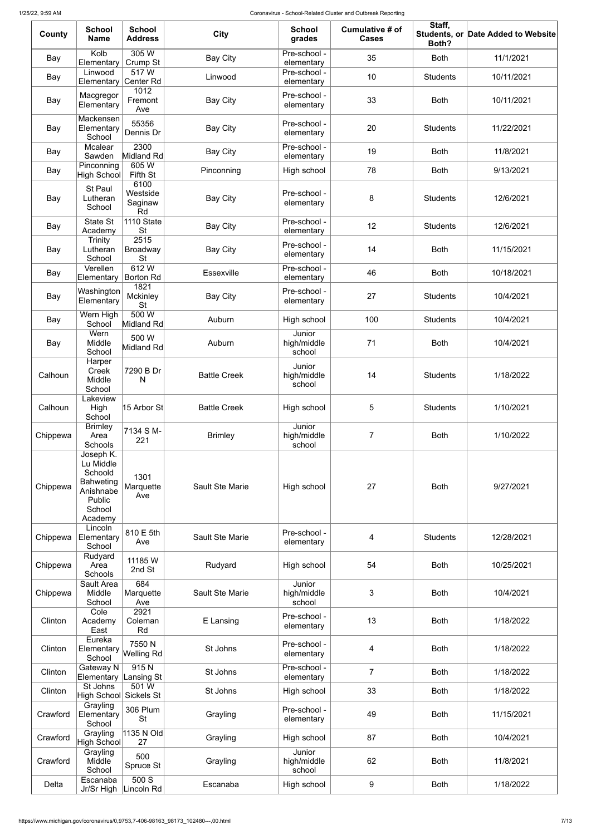| County   | <b>School</b><br><b>Name</b>                                                                      | <b>School</b><br><b>Address</b>      | <b>City</b>            | <b>School</b><br>grades         | Cumulative # of<br><b>Cases</b> | Staff,<br>Both? | Students, or Date Added to Website |
|----------|---------------------------------------------------------------------------------------------------|--------------------------------------|------------------------|---------------------------------|---------------------------------|-----------------|------------------------------------|
| Bay      | Kolb<br>Elementary                                                                                | 305 W<br>Crump St                    | <b>Bay City</b>        | Pre-school -<br>elementary      | 35                              | <b>Both</b>     | 11/1/2021                          |
| Bay      | Linwood<br>Elementary                                                                             | 517W<br>Center Rd                    | Linwood                | Pre-school -<br>elementary      | 10                              | <b>Students</b> | 10/11/2021                         |
| Bay      | Macgregor<br>Elementary                                                                           | 1012<br>Fremont<br>Ave               | <b>Bay City</b>        | Pre-school -<br>elementary      | 33                              | <b>Both</b>     | 10/11/2021                         |
| Bay      | Mackensen<br>Elementary<br>School                                                                 | 55356<br>Dennis Dr                   | <b>Bay City</b>        | Pre-school -<br>elementary      | 20                              | <b>Students</b> | 11/22/2021                         |
| Bay      | Mcalear<br>Sawden                                                                                 | 2300<br>Midland Rd                   | <b>Bay City</b>        | Pre-school -<br>elementary      | 19                              | <b>Both</b>     | 11/8/2021                          |
| Bay      | Pinconning<br>High School                                                                         | 605W<br>Fifth St                     | Pinconning             | High school                     | 78                              | <b>Both</b>     | 9/13/2021                          |
| Bay      | St Paul<br>Lutheran<br>School                                                                     | 6100<br>Westside<br>Saginaw<br>Rd    | <b>Bay City</b>        | Pre-school -<br>elementary      | $\bf 8$                         | <b>Students</b> | 12/6/2021                          |
| Bay      | <b>State St</b><br>Academy                                                                        | 1110 State<br><b>St</b>              | <b>Bay City</b>        | Pre-school -<br>elementary      | 12                              | <b>Students</b> | 12/6/2021                          |
| Bay      | <b>Trinity</b><br>Lutheran<br>School                                                              | 2515<br><b>Broadway</b><br><b>St</b> | <b>Bay City</b>        | Pre-school -<br>elementary      | 14                              | <b>Both</b>     | 11/15/2021                         |
| Bay      | Verellen<br>Elementary                                                                            | 612W<br><b>Borton Rd</b>             | <b>Essexville</b>      | Pre-school -<br>elementary      | 46                              | <b>Both</b>     | 10/18/2021                         |
| Bay      | Washington<br>Elementary                                                                          | 1821<br><b>Mckinley</b><br><b>St</b> | Bay City               | Pre-school -<br>elementary      | 27                              | <b>Students</b> | 10/4/2021                          |
| Bay      | Wern High<br>School                                                                               | 500 W<br>Midland Rd                  | Auburn                 | High school                     | 100                             | <b>Students</b> | 10/4/2021                          |
| Bay      | Wern<br>Middle<br>School                                                                          | 500 W<br>Midland Rd                  | Auburn                 | Junior<br>high/middle<br>school | 71                              | <b>Both</b>     | 10/4/2021                          |
| Calhoun  | Harper<br>Creek<br>Middle<br>School                                                               | 7290 B Dr<br>N                       | <b>Battle Creek</b>    | Junior<br>high/middle<br>school | 14                              | <b>Students</b> | 1/18/2022                          |
| Calhoun  | Lakeview<br>High<br>School                                                                        | 15 Arbor St                          | <b>Battle Creek</b>    | High school                     | $\sqrt{5}$                      | <b>Students</b> | 1/10/2021                          |
| Chippewa | <b>Brimley</b><br>Area<br>Schools                                                                 | 7134 S M-<br>221                     | <b>Brimley</b>         | Junior<br>high/middle<br>school | 7                               | <b>Both</b>     | 1/10/2022                          |
| Chippewa | Joseph K.<br>Lu Middle<br>Schoold<br><b>Bahweting</b><br>Anishnabe<br>Public<br>School<br>Academy | 1301<br>Marquette<br>Ave             | <b>Sault Ste Marie</b> | High school                     | 27                              | <b>Both</b>     | 9/27/2021                          |
| Chippewa | Lincoln<br>Elementary<br>School                                                                   | 810 E 5th<br>Ave                     | Sault Ste Marie        | Pre-school -<br>elementary      | 4                               | <b>Students</b> | 12/28/2021                         |
| Chippewa | Rudyard<br>Area<br>Schools                                                                        | 11185 W<br>2nd St                    | Rudyard                | High school                     | 54                              | <b>Both</b>     | 10/25/2021                         |
| Chippewa | Sault Area<br>Middle<br>School                                                                    | 684<br>Marquette<br>Ave              | <b>Sault Ste Marie</b> | Junior<br>high/middle<br>school | 3                               | <b>Both</b>     | 10/4/2021                          |
| Clinton  | Cole<br>Academy<br>East                                                                           | 2921<br>Coleman<br>Rd                | E Lansing              | Pre-school -<br>elementary      | 13                              | <b>Both</b>     | 1/18/2022                          |
| Clinton  | Eureka<br>Elementary Welling Rd<br>School                                                         | 7550N                                | St Johns               | Pre-school -<br>elementary      | 4                               | <b>Both</b>     | 1/18/2022                          |
| Clinton  | Gateway N<br>Elementary                                                                           | 915N<br>Lansing $St$                 | St Johns               | Pre-school -<br>elementary      | $\overline{7}$                  | <b>Both</b>     | 1/18/2022                          |
| Clinton  | St Johns<br>$ High$ School $ $                                                                    | 501 W<br><b>Sickels St</b>           | St Johns               | High school                     | 33                              | <b>Both</b>     | 1/18/2022                          |
| Crawford | Grayling<br>Elementary<br>School                                                                  | 306 Plum<br><b>St</b>                | Grayling               | Pre-school -<br>elementary      | 49                              | <b>Both</b>     | 11/15/2021                         |
| Crawford | Grayling<br>High School                                                                           | 1135 N Old<br>27                     | Grayling               | High school                     | 87                              | <b>Both</b>     | 10/4/2021                          |
| Crawford | Grayling<br>Middle<br>School                                                                      | 500<br>Spruce St                     | Grayling               | Junior<br>high/middle<br>school | 62                              | <b>Both</b>     | 11/8/2021                          |
| Delta    | Escanaba<br>Jr/Sr High                                                                            | 500 S<br>Lincoln Rd                  | Escanaba               | High school                     | 9                               | <b>Both</b>     | 1/18/2022                          |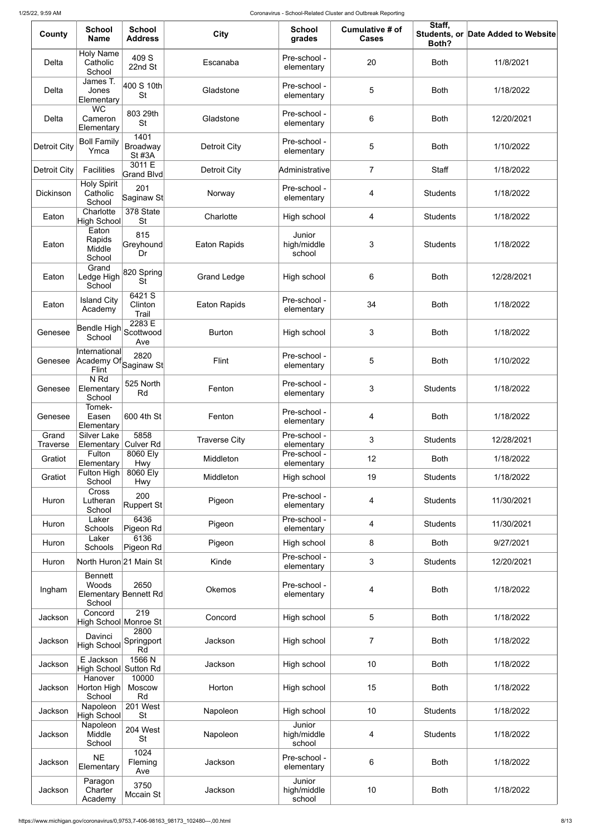| County                   | <b>School</b><br><b>Name</b>                               | <b>School</b><br><b>Address</b>   | <b>City</b>          | <b>School</b><br>grades         | Cumulative # of<br><b>Cases</b> | Staff,<br>Both? | Students, or Date Added to Website |
|--------------------------|------------------------------------------------------------|-----------------------------------|----------------------|---------------------------------|---------------------------------|-----------------|------------------------------------|
| Delta                    | <b>Holy Name</b><br>Catholic<br>School                     | 409 S<br>22nd St                  | Escanaba             | Pre-school -<br>elementary      | 20                              | <b>Both</b>     | 11/8/2021                          |
| Delta                    | James T.<br>Jones<br>Elementary                            | 400 S 10th<br><b>St</b>           | Gladstone            | Pre-school -<br>elementary      | 5                               | <b>Both</b>     | 1/18/2022                          |
| Delta                    | <b>WC</b><br>Cameron<br>Elementary                         | 803 29th<br><b>St</b>             | Gladstone            | Pre-school -<br>elementary      | 6                               | <b>Both</b>     | 12/20/2021                         |
| <b>Detroit City</b>      | <b>Boll Family</b><br>Ymca                                 | 1401<br>Broadway<br><b>St #3A</b> | <b>Detroit City</b>  | Pre-school -<br>elementary      | 5                               | <b>Both</b>     | 1/10/2022                          |
| <b>Detroit City</b>      | <b>Facilities</b>                                          | 3011 E<br>Grand Blvd              | <b>Detroit City</b>  | Administrative                  | $\overline{7}$                  | Staff           | 1/18/2022                          |
| <b>Dickinson</b>         | <b>Holy Spirit</b><br>Catholic<br>School                   | 201<br>Saginaw St                 | Norway               | Pre-school -<br>elementary      | 4                               | <b>Students</b> | 1/18/2022                          |
| Eaton                    | Charlotte<br><b>High School</b>                            | 378 State<br><b>St</b>            | Charlotte            | High school                     | 4                               | <b>Students</b> | 1/18/2022                          |
| Eaton                    | Eaton<br>Rapids<br>Middle<br>School                        | 815<br>Greyhound<br>Dr            | <b>Eaton Rapids</b>  | Junior<br>high/middle<br>school | 3                               | <b>Students</b> | 1/18/2022                          |
| Eaton                    | Grand<br>Ledge High<br>School                              | $ 820$ Spring<br><b>St</b>        | <b>Grand Ledge</b>   | High school                     | 6                               | <b>Both</b>     | 12/28/2021                         |
| Eaton                    | <b>Island City</b><br>Academy                              | 6421 S<br>Clinton<br>Trail        | <b>Eaton Rapids</b>  | Pre-school -<br>elementary      | 34                              | <b>Both</b>     | 1/18/2022                          |
| Genesee                  | Bendle High Scottwood<br>School                            | 2283 E<br>Ave                     | <b>Burton</b>        | High school                     | 3                               | <b>Both</b>     | 1/18/2022                          |
| Genesee                  | International<br>Academy Of Saginaw St<br>Flint            | 2820                              | Flint                | Pre-school -<br>elementary      | 5                               | <b>Both</b>     | 1/10/2022                          |
| Genesee                  | N <sub>Rd</sub><br>Elementary<br>School                    | 525 North<br>Rd                   | Fenton               | Pre-school -<br>elementary      | 3                               | <b>Students</b> | 1/18/2022                          |
| Genesee                  | Tomek-<br>Easen<br>Elementary                              | 600 4th St                        | Fenton               | Pre-school -<br>elementary      | 4                               | <b>Both</b>     | 1/18/2022                          |
| Grand<br><b>Traverse</b> | <b>Silver Lake</b><br>Elementary                           | 5858<br><b>Culver Rd</b>          | <b>Traverse City</b> | Pre-school -<br>elementary      | 3                               | <b>Students</b> | 12/28/2021                         |
| Gratiot                  | Fulton<br>Elementary                                       | 8060 Ely<br>Hwy                   | Middleton            | Pre-school -<br>elementary      | 12                              | <b>Both</b>     | 1/18/2022                          |
| Gratiot                  | Fulton High<br>School                                      | 8060 Ely<br>Hwy                   | Middleton            | High school                     | 19                              | <b>Students</b> | 1/18/2022                          |
| Huron                    | <b>Cross</b><br>Lutheran<br>School                         | 200<br>Ruppert St                 | Pigeon               | Pre-school -<br>elementary      | 4                               | <b>Students</b> | 11/30/2021                         |
| Huron                    | Laker<br>Schools                                           | 6436<br>Pigeon Rd                 | Pigeon               | Pre-school -<br>elementary      | 4                               | <b>Students</b> | 11/30/2021                         |
| Huron                    | Laker<br>Schools                                           | 6136<br>Pigeon Rd                 | Pigeon               | High school                     | 8                               | <b>Both</b>     | 9/27/2021                          |
| Huron                    | North Huron 21 Main St                                     |                                   | Kinde                | Pre-school -<br>elementary      | 3                               | <b>Students</b> | 12/20/2021                         |
| Ingham                   | <b>Bennett</b><br>Woods<br>Elementary Bennett Rd<br>School | 2650                              | <b>Okemos</b>        | Pre-school -<br>elementary      | 4                               | <b>Both</b>     | 1/18/2022                          |
| Jackson                  | Concord<br>High School Monroe St                           | $\overline{219}$                  | Concord              | High school                     | 5                               | <b>Both</b>     | 1/18/2022                          |
| Jackson                  | Davinci<br>High School                                     | 2800<br>Springport<br>Rd          | Jackson              | High school                     | $\overline{7}$                  | <b>Both</b>     | 1/18/2022                          |
| Jackson                  | E Jackson<br>High School Sutton Rd                         | 1566N                             | Jackson              | High school                     | 10                              | <b>Both</b>     | 1/18/2022                          |
| Jackson                  | Hanover<br>Horton High<br>School                           | 10000<br><b>Moscow</b><br>Rd      | Horton               | High school                     | 15                              | <b>Both</b>     | 1/18/2022                          |
| Jackson                  | Napoleon<br><b>High School</b>                             | 201 West<br><b>St</b>             | Napoleon             | High school                     | 10                              | <b>Students</b> | 1/18/2022                          |
| Jackson                  | Napoleon<br>Middle<br>School                               | 204 West<br><b>St</b>             | Napoleon             | Junior<br>high/middle<br>school | 4                               | <b>Students</b> | 1/18/2022                          |
| Jackson                  | <b>NE</b><br>Elementary                                    | 1024<br>Fleming<br>Ave            | Jackson              | Pre-school -<br>elementary      | 6                               | <b>Both</b>     | 1/18/2022                          |
| Jackson                  | Paragon<br>Charter<br>Academy                              | 3750<br>Mccain St                 | Jackson              | Junior<br>high/middle<br>school | 10                              | <b>Both</b>     | 1/18/2022                          |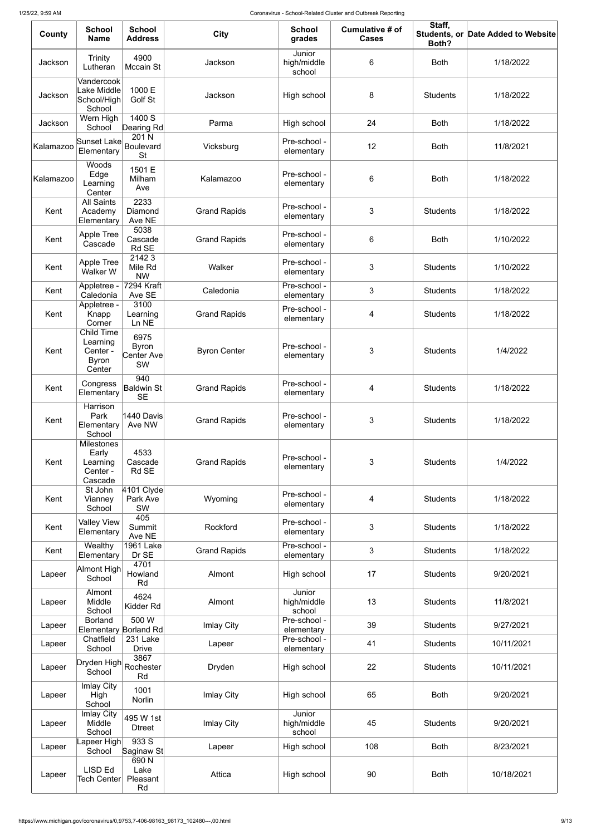| County    | <b>School</b><br><b>Name</b>                                  | <b>School</b><br><b>Address</b>          | <b>City</b>         | <b>School</b><br>grades         | Cumulative # of<br><b>Cases</b> | Staff,<br>Both? | Students, or Date Added to Website |
|-----------|---------------------------------------------------------------|------------------------------------------|---------------------|---------------------------------|---------------------------------|-----------------|------------------------------------|
| Jackson   | Trinity<br>Lutheran                                           | 4900<br>Mccain St                        | Jackson             | Junior<br>high/middle<br>school | $6\,$                           | <b>Both</b>     | 1/18/2022                          |
| Jackson   | Vandercook<br>Lake Middle<br>School/High<br>School            | 1000 E<br>Golf St                        | Jackson             | High school                     | 8                               | <b>Students</b> | 1/18/2022                          |
| Jackson   | Wern High<br>School                                           | 1400 S<br>Dearing Rd                     | Parma               | High school                     | 24                              | <b>Both</b>     | 1/18/2022                          |
| Kalamazoo | Sunset Lake<br>Elementary                                     | 201 N<br>Boulevard<br><b>St</b>          | Vicksburg           | Pre-school -<br>elementary      | 12                              | <b>Both</b>     | 11/8/2021                          |
| Kalamazoo | Woods<br>Edge<br>Learning<br>Center                           | 1501 E<br>Milham<br>Ave                  | Kalamazoo           | Pre-school -<br>elementary      | $\,6$                           | <b>Both</b>     | 1/18/2022                          |
| Kent      | <b>All Saints</b><br>Academy<br>Elementary                    | 2233<br>Diamond<br>Ave NE                | <b>Grand Rapids</b> | Pre-school -<br>elementary      | $\mathfrak{S}$                  | <b>Students</b> | 1/18/2022                          |
| Kent      | Apple Tree<br>Cascade                                         | 5038<br>Cascade<br>Rd SE                 | <b>Grand Rapids</b> | Pre-school -<br>elementary      | $\,6$                           | <b>Both</b>     | 1/10/2022                          |
| Kent      | Apple Tree<br>Walker W                                        | 21423<br>Mile Rd<br><b>NW</b>            | Walker              | Pre-school -<br>elementary      | 3                               | <b>Students</b> | 1/10/2022                          |
| Kent      | Appletree -<br>Caledonia                                      | 7294 Kraft<br>Ave SE                     | Caledonia           | Pre-school -<br>elementary      | $\mathfrak{S}$                  | <b>Students</b> | 1/18/2022                          |
| Kent      | Appletree -<br>Knapp<br>Corner                                | 3100<br>Learning<br>Ln NE                | <b>Grand Rapids</b> | Pre-school -<br>elementary      | 4                               | <b>Students</b> | 1/18/2022                          |
| Kent      | Child Time<br>Learning<br>Center -<br><b>Byron</b><br>Center  | 6975<br><b>Byron</b><br>Center Ave<br>SW | <b>Byron Center</b> | Pre-school -<br>elementary      | $\mathfrak{S}$                  | <b>Students</b> | 1/4/2022                           |
| Kent      | Congress<br>Elementary                                        | 940<br>Baldwin St<br><b>SE</b>           | <b>Grand Rapids</b> | Pre-school -<br>elementary      | 4                               | <b>Students</b> | 1/18/2022                          |
| Kent      | Harrison<br>Park<br>Elementary<br>School                      | 1440 Davis<br>Ave NW                     | <b>Grand Rapids</b> | Pre-school -<br>elementary      | 3                               | <b>Students</b> | 1/18/2022                          |
| Kent      | <b>Milestones</b><br>Early<br>Learning<br>Center -<br>Cascade | 4533<br>Cascade<br>Rd SE                 | <b>Grand Rapids</b> | Pre-school -<br>elementary      | 3                               | <b>Students</b> | 1/4/2022                           |
| Kent      | St John<br>Vianney<br>School                                  | $4101$ Clyde<br>Park Ave<br>SW           | Wyoming             | Pre-school -<br>elementary      | 4                               | <b>Students</b> | 1/18/2022                          |
| Kent      | <b>Valley View</b><br>Elementary                              | 405<br>Summit<br>Ave NE                  | Rockford            | Pre-school -<br>elementary      | 3                               | <b>Students</b> | 1/18/2022                          |
| Kent      | Wealthy<br>Elementary                                         | <b>1961 Lake</b><br>Dr SE                | <b>Grand Rapids</b> | Pre-school -<br>elementary      | 3                               | <b>Students</b> | 1/18/2022                          |
| Lapeer    | Almont High<br>School                                         | 4701<br>Howland<br>Rd                    | Almont              | High school                     | 17                              | <b>Students</b> | 9/20/2021                          |
| Lapeer    | Almont<br>Middle<br>School                                    | 4624<br>Kidder Rd                        | Almont              | Junior<br>high/middle<br>school | 13                              | <b>Students</b> | 11/8/2021                          |
| Lapeer    | <b>Borland</b><br>Elementary Borland Rd                       | 500 W                                    | <b>Imlay City</b>   | Pre-school -<br>elementary      | 39                              | <b>Students</b> | 9/27/2021                          |
| Lapeer    | Chatfield<br>School                                           | 231 Lake<br><b>Drive</b>                 | Lapeer              | Pre-school -<br>elementary      | 41                              | <b>Students</b> | 10/11/2021                         |
| Lapeer    | Dryden High<br>School                                         | 3867<br>Rochester <sup>!</sup><br>Rd     | Dryden              | High school                     | 22                              | <b>Students</b> | 10/11/2021                         |
| Lapeer    | Imlay City<br>High<br>School                                  | 1001<br>Norlin                           | Imlay City          | High school                     | 65                              | <b>Both</b>     | 9/20/2021                          |
| Lapeer    | Imlay City<br>Middle<br>School                                | 495 W 1st<br><b>Dtreet</b>               | Imlay City          | Junior<br>high/middle<br>school | 45                              | <b>Students</b> | 9/20/2021                          |
| Lapeer    | Lapeer High∣<br>School                                        | 933S<br>Saginaw St                       | Lapeer              | High school                     | 108                             | <b>Both</b>     | 8/23/2021                          |
| Lapeer    | <b>LISD Ed</b><br>Tech Center∣                                | 690N<br>Lake<br>Pleasant<br>Rd           | Attica              | High school                     | 90                              | <b>Both</b>     | 10/18/2021                         |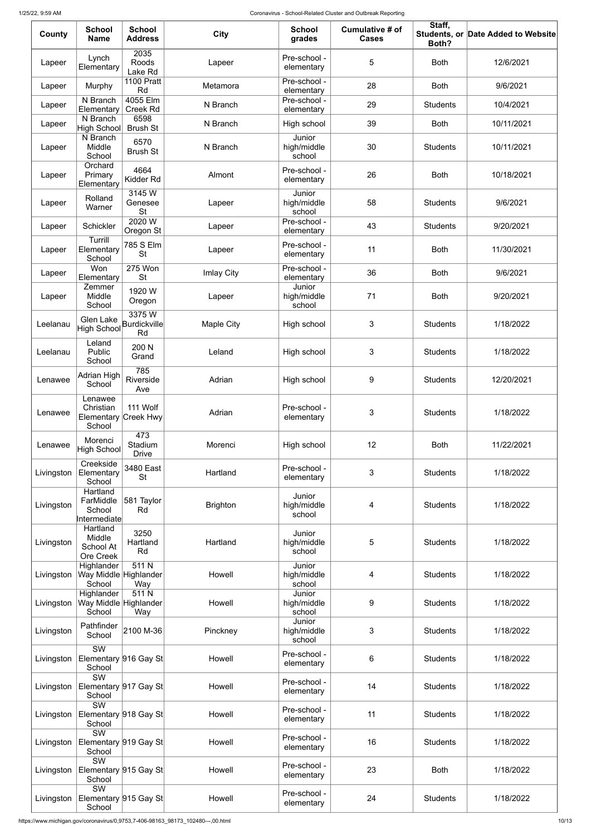| County     | <b>School</b><br><b>Name</b>                              | <b>School</b><br><b>Address</b>    | <b>City</b>       | <b>School</b><br>grades         | Cumulative # of<br><b>Cases</b> | Staff,<br>Both? | Students, or Date Added to Website |
|------------|-----------------------------------------------------------|------------------------------------|-------------------|---------------------------------|---------------------------------|-----------------|------------------------------------|
| Lapeer     | Lynch<br>Elementary                                       | 2035<br>Roods<br>Lake Rd           | Lapeer            | Pre-school -<br>elementary      | $\sqrt{5}$                      | <b>Both</b>     | 12/6/2021                          |
| Lapeer     | Murphy                                                    | <b>1100 Pratt</b><br>Rd            | Metamora          | Pre-school -<br>elementary      | 28                              | <b>Both</b>     | 9/6/2021                           |
| Lapeer     | N Branch<br>Elementary                                    | 4055 Elm<br><b>Creek Rd</b>        | N Branch          | Pre-school -<br>elementary      | 29                              | <b>Students</b> | 10/4/2021                          |
| Lapeer     | N Branch<br>High School                                   | 6598<br><b>Brush St</b>            | N Branch          | High school                     | 39                              | <b>Both</b>     | 10/11/2021                         |
| Lapeer     | N Branch<br>Middle<br>School                              | 6570<br><b>Brush St</b>            | N Branch          | Junior<br>high/middle<br>school | 30                              | <b>Students</b> | 10/11/2021                         |
| Lapeer     | Orchard<br>Primary<br>Elementary                          | 4664<br>Kidder Rd                  | Almont            | Pre-school -<br>elementary      | 26                              | <b>Both</b>     | 10/18/2021                         |
| Lapeer     | Rolland<br>Warner                                         | 3145W<br>Genesee<br><b>St</b>      | Lapeer            | Junior<br>high/middle<br>school | 58                              | <b>Students</b> | 9/6/2021                           |
| Lapeer     | Schickler                                                 | 2020 W<br>Oregon St                | Lapeer            | Pre-school -<br>elementary      | 43                              | <b>Students</b> | 9/20/2021                          |
| Lapeer     | Turrill<br>Elementary<br>School                           | 785 S Elm<br><b>St</b>             | Lapeer            | Pre-school -<br>elementary      | 11                              | <b>Both</b>     | 11/30/2021                         |
| Lapeer     | Won<br>Elementary                                         | 275 Won<br><b>St</b>               | <b>Imlay City</b> | Pre-school -<br>elementary      | 36                              | <b>Both</b>     | 9/6/2021                           |
| Lapeer     | Zemmer<br>Middle<br>School                                | 1920 W<br>Oregon                   | Lapeer            | Junior<br>high/middle<br>school | 71                              | <b>Both</b>     | 9/20/2021                          |
| Leelanau   | Glen Lake<br><b>High School</b>                           | 3375W<br><b>Burdickville</b><br>Rd | <b>Maple City</b> | High school                     | 3                               | <b>Students</b> | 1/18/2022                          |
| Leelanau   | Leland<br>Public<br>School                                | 200 N<br>Grand                     | Leland            | High school                     | 3                               | <b>Students</b> | 1/18/2022                          |
| Lenawee    | Adrian High<br>School                                     | 785<br>Riverside<br>Ave            | Adrian            | High school                     | 9                               | <b>Students</b> | 12/20/2021                         |
| Lenawee    | Lenawee<br>Christian<br>Elementary Creek Hwy<br>School    | 111 Wolf                           | Adrian            | Pre-school -<br>elementary      | 3                               | <b>Students</b> | 1/18/2022                          |
| Lenawee    | Morenci<br>High School                                    | 473<br>Stadium<br><b>Drive</b>     | Morenci           | High school                     | 12                              | <b>Both</b>     | 11/22/2021                         |
| Livingston | Creekside<br>Elementary<br>School                         | 3480 East<br><b>St</b>             | Hartland          | Pre-school -<br>elementary      | $\mathfrak{S}$                  | <b>Students</b> | 1/18/2022                          |
| Livingston | Hartland<br>FarMiddle<br>School<br>Intermediate           | 581 Taylor<br>Rd                   | <b>Brighton</b>   | Junior<br>high/middle<br>school | 4                               | <b>Students</b> | 1/18/2022                          |
| Livingston | Hartland<br>Middle<br>School At<br>Ore Creek              | 3250<br>Hartland<br>Rd             | Hartland          | Junior<br>high/middle<br>school | 5                               | <b>Students</b> | 1/18/2022                          |
| Livingston | Highlander<br>Way Middle Highlander<br>School             | 511 N<br>Way                       | Howell            | Junior<br>high/middle<br>school | 4                               | <b>Students</b> | 1/18/2022                          |
| Livingston | Highlander<br>Way Middle Highlander<br>School             | 511 N<br>Way                       | Howell            | Junior<br>high/middle<br>school | 9                               | <b>Students</b> | 1/18/2022                          |
| Livingston | Pathfinder<br>School                                      | 2100 M-36                          | Pinckney          | Junior<br>high/middle<br>school | 3                               | <b>Students</b> | 1/18/2022                          |
| Livingston | $\overline{\text{SW}}$<br>Elementary 916 Gay St<br>School |                                    | Howell            | Pre-school -<br>elementary      | 6                               | <b>Students</b> | 1/18/2022                          |
| Livingston | $\overline{\text{SW}}$<br>Elementary 917 Gay St<br>School |                                    | Howell            | Pre-school -<br>elementary      | 14                              | <b>Students</b> | 1/18/2022                          |
| Livingston | $\overline{\text{SW}}$<br>Elementary 918 Gay St<br>School |                                    | Howell            | Pre-school -<br>elementary      | 11                              | <b>Students</b> | 1/18/2022                          |
| Livingston | $\overline{\text{SW}}$<br>Elementary 919 Gay St<br>School |                                    | Howell            | Pre-school -<br>elementary      | 16                              | <b>Students</b> | 1/18/2022                          |
| Livingston | SW<br>Elementary 915 Gay St<br>School                     |                                    | Howell            | Pre-school -<br>elementary      | 23                              | <b>Both</b>     | 1/18/2022                          |
| Livingston | $\overline{\text{SW}}$<br>Elementary 915 Gay St<br>School |                                    | Howell            | Pre-school -<br>elementary      | 24                              | <b>Students</b> | 1/18/2022                          |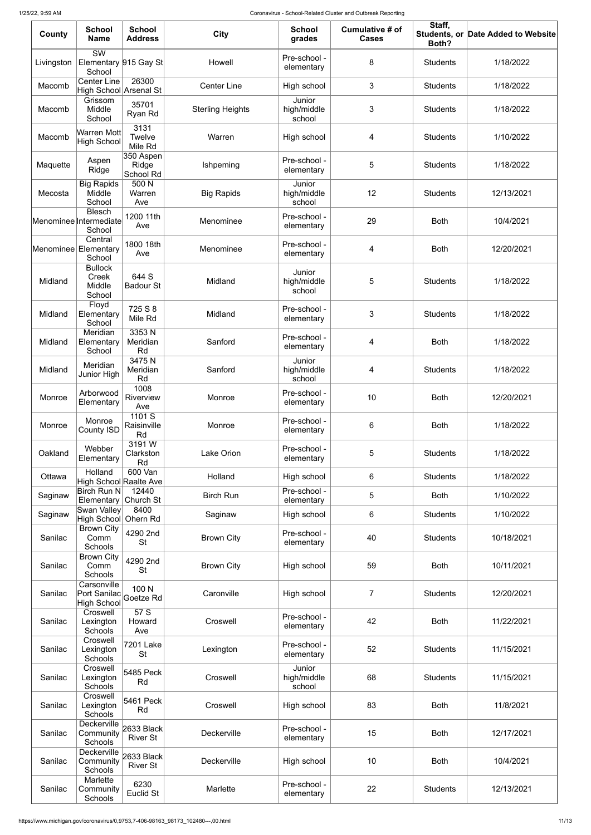| County     | <b>School</b><br><b>Name</b>                              | <b>School</b><br><b>Address</b> | <b>City</b>             | <b>School</b><br>grades         | Cumulative # of<br><b>Cases</b> | Staff,<br>Both? | Students, or Date Added to Website |
|------------|-----------------------------------------------------------|---------------------------------|-------------------------|---------------------------------|---------------------------------|-----------------|------------------------------------|
| Livingston | $\overline{\text{SW}}$<br>Elementary 915 Gay St<br>School |                                 | Howell                  | Pre-school -<br>elementary      | 8                               | <b>Students</b> | 1/18/2022                          |
| Macomb     | <b>Center Line</b><br>High School Arsenal St              | 26300                           | <b>Center Line</b>      | High school                     | 3                               | <b>Students</b> | 1/18/2022                          |
| Macomb     | Grissom<br>Middle<br>School                               | 35701<br>Ryan Rd                | <b>Sterling Heights</b> | Junior<br>high/middle<br>school | 3                               | <b>Students</b> | 1/18/2022                          |
| Macomb     | Warren Mott<br>High School                                | 3131<br>Twelve<br>Mile Rd       | Warren                  | High school                     | 4                               | <b>Students</b> | 1/10/2022                          |
| Maquette   | Aspen<br>Ridge                                            | 350 Aspen<br>Ridge<br>School Rd | Ishpeming               | Pre-school -<br>elementary      | 5                               | <b>Students</b> | 1/18/2022                          |
| Mecosta    | <b>Big Rapids</b><br>Middle<br>School                     | 500 N<br>Warren<br>Ave          | <b>Big Rapids</b>       | Junior<br>high/middle<br>school | 12                              | <b>Students</b> | 12/13/2021                         |
|            | <b>Blesch</b><br>Menominee Intermediate<br>School         | 1200 11th<br>Ave                | Menominee               | Pre-school -<br>elementary      | 29                              | <b>Both</b>     | 10/4/2021                          |
|            | Central<br>Menominee Elementary<br>School                 | 1800 18th<br>Ave                | Menominee               | Pre-school -<br>elementary      | 4                               | <b>Both</b>     | 12/20/2021                         |
| Midland    | <b>Bullock</b><br>Creek<br>Middle<br>School               | 644 S<br><b>Badour St</b>       | Midland                 | Junior<br>high/middle<br>school | 5                               | <b>Students</b> | 1/18/2022                          |
| Midland    | Floyd<br>Elementary<br>School                             | 725 S 8<br>Mile Rd              | Midland                 | Pre-school -<br>elementary      | 3                               | <b>Students</b> | 1/18/2022                          |
| Midland    | Meridian<br>Elementary<br>School                          | 3353N<br>Meridian<br>Rd         | Sanford                 | Pre-school -<br>elementary      | 4                               | <b>Both</b>     | 1/18/2022                          |
| Midland    | Meridian<br>Junior High                                   | 3475N<br>Meridian<br>Rd         | Sanford                 | Junior<br>high/middle<br>school | 4                               | <b>Students</b> | 1/18/2022                          |
| Monroe     | Arborwood<br>Elementary                                   | 1008<br>Riverview<br>Ave        | Monroe                  | Pre-school -<br>elementary      | 10                              | <b>Both</b>     | 12/20/2021                         |
| Monroe     | Monroe<br><b>County ISD</b>                               | 1101S<br>Raisinville<br>Rd      | Monroe                  | Pre-school -<br>elementary      | 6                               | <b>Both</b>     | 1/18/2022                          |
| Oakland    | Webber<br>Elementary                                      | 3191 W<br>Clarkston<br>Rd       | <b>Lake Orion</b>       | Pre-school -<br>elementary      | $\sqrt{5}$                      | <b>Students</b> | 1/18/2022                          |
| Ottawa     | Holland<br>High School Raalte Ave                         | 600 Van                         | Holland                 | High school                     | 6                               | <b>Students</b> | 1/18/2022                          |
| Saginaw    | <b>Birch Run N</b><br>Elementary Church St                | 12440                           | <b>Birch Run</b>        | Pre-school -<br>elementary      | $\sqrt{5}$                      | <b>Both</b>     | 1/10/2022                          |
| Saginaw    | Swan Valley<br>High School Ohern Rd                       | 8400                            | Saginaw                 | High school                     | 6                               | <b>Students</b> | 1/10/2022                          |
| Sanilac    | <b>Brown City</b><br>Comm<br>Schools                      | 4290 2nd<br><b>St</b>           | <b>Brown City</b>       | Pre-school -<br>elementary      | 40                              | <b>Students</b> | 10/18/2021                         |
| Sanilac    | <b>Brown City</b><br>Comm<br>Schools                      | 4290 2nd<br><b>St</b>           | <b>Brown City</b>       | High school                     | 59                              | <b>Both</b>     | 10/11/2021                         |
| Sanilac    | Carsonville<br>Port Sanilac<br><b>High School</b>         | 100 N<br>Goetze Rd              | Caronville              | High school                     | $\overline{7}$                  | <b>Students</b> | 12/20/2021                         |
| Sanilac    | Croswell<br>Lexington<br>Schools                          | 57 S<br>Howard<br>Ave           | Croswell                | Pre-school -<br>elementary      | 42                              | <b>Both</b>     | 11/22/2021                         |
| Sanilac    | Croswell<br>Lexington<br>Schools                          | <b>7201 Lake</b><br><b>St</b>   | Lexington               | Pre-school -<br>elementary      | 52                              | <b>Students</b> | 11/15/2021                         |
| Sanilac    | Croswell<br>Lexington<br>Schools                          | 5485 Peck<br>Rd                 | Croswell                | Junior<br>high/middle<br>school | 68                              | <b>Students</b> | 11/15/2021                         |
| Sanilac    | Croswell<br>Lexington<br>Schools                          | 5461 Peck<br>Rd                 | Croswell                | High school                     | 83                              | <b>Both</b>     | 11/8/2021                          |
| Sanilac    | Deckerville<br>Community<br>Schools                       | 2633 Black<br><b>River St</b>   | Deckerville             | Pre-school -<br>elementary      | 15                              | <b>Both</b>     | 12/17/2021                         |
| Sanilac    | Deckerville<br>Community<br>Schools                       | 2633 Black<br><b>River St</b>   | Deckerville             | High school                     | 10                              | <b>Both</b>     | 10/4/2021                          |
| Sanilac    | Marlette<br>Community<br>Schools                          | 6230<br>Euclid St               | Marlette                | Pre-school -<br>elementary      | 22                              | <b>Students</b> | 12/13/2021                         |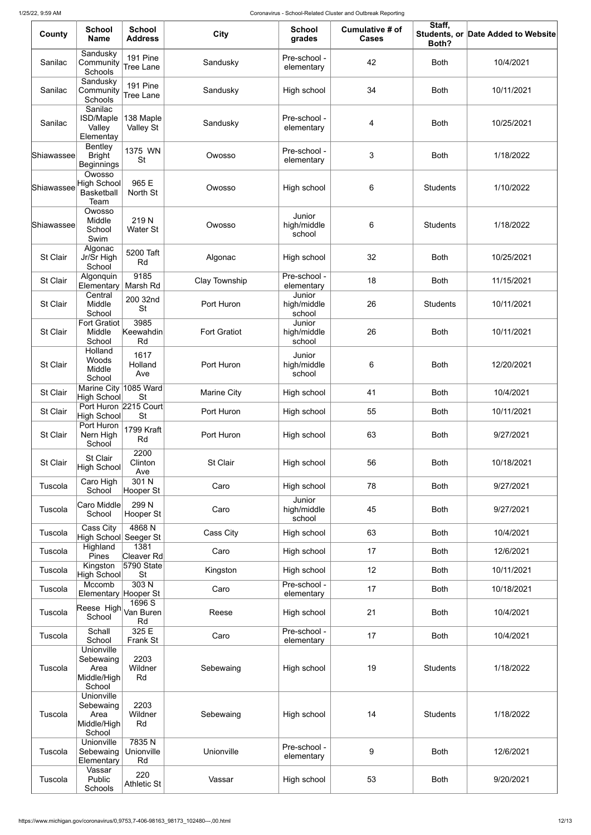| County          | <b>School</b><br><b>Name</b>                              | <b>School</b><br><b>Address</b> | <b>City</b>         | <b>School</b><br>grades         | <b>Cumulative # of</b><br><b>Cases</b> | Staff,<br>Both? | Students, or Date Added to Website |
|-----------------|-----------------------------------------------------------|---------------------------------|---------------------|---------------------------------|----------------------------------------|-----------------|------------------------------------|
| Sanilac         | Sandusky<br>Community<br>Schools                          | 191 Pine<br>Tree Lane           | Sandusky            | Pre-school -<br>elementary      | 42                                     | <b>Both</b>     | 10/4/2021                          |
| Sanilac         | Sandusky<br>Community<br>Schools                          | 191 Pine<br>Tree Lane           | Sandusky            | High school                     | 34                                     | <b>Both</b>     | 10/11/2021                         |
| Sanilac         | Sanilac<br>ISD/Maple<br>Valley<br>Elementay               | 138 Maple<br><b>Valley St</b>   | Sandusky            | Pre-school -<br>elementary      | 4                                      | <b>Both</b>     | 10/25/2021                         |
| Shiawassee      | <b>Bentley</b><br><b>Bright</b><br><b>Beginnings</b>      | 1375 WN<br><b>St</b>            | Owosso              | Pre-school -<br>elementary      | 3                                      | <b>Both</b>     | 1/18/2022                          |
| Shiawassee      | Owosso<br><b>High School</b><br><b>Basketball</b><br>Team | 965 E<br>North St               | Owosso              | High school                     | $\,6$                                  | <b>Students</b> | 1/10/2022                          |
| Shiawassee      | Owosso<br>Middle<br>School<br>Swim                        | 219N<br>Water St                | Owosso              | Junior<br>high/middle<br>school | $\,6$                                  | <b>Students</b> | 1/18/2022                          |
| <b>St Clair</b> | Algonac<br>Jr/Sr High<br>School                           | 5200 Taft<br>Rd                 | Algonac             | High school                     | 32                                     | <b>Both</b>     | 10/25/2021                         |
| St Clair        | Algonquin<br>Elementary                                   | 9185<br>Marsh Rd                | Clay Township       | Pre-school -<br>elementary      | 18                                     | <b>Both</b>     | 11/15/2021                         |
| St Clair        | Central<br>Middle<br>School                               | 200 32nd<br><b>St</b>           | Port Huron          | Junior<br>high/middle<br>school | 26                                     | <b>Students</b> | 10/11/2021                         |
| St Clair        | <b>Fort Gratiot</b><br>Middle<br>School                   | 3985<br>Keewahdin<br>Rd         | <b>Fort Gratiot</b> | Junior<br>high/middle<br>school | 26                                     | <b>Both</b>     | 10/11/2021                         |
| St Clair        | Holland<br>Woods<br>Middle<br>School                      | 1617<br>Holland<br>Ave          | Port Huron          | Junior<br>high/middle<br>school | $\,6$                                  | <b>Both</b>     | 12/20/2021                         |
| <b>St Clair</b> | <b>Marine City</b><br><b>High School</b>                  | 1085 Ward<br><b>St</b>          | <b>Marine City</b>  | High school                     | 41                                     | <b>Both</b>     | 10/4/2021                          |
| St Clair        | Port Huron 2215 Court<br><b>High School</b>               | <b>St</b>                       | Port Huron          | High school                     | 55                                     | <b>Both</b>     | 10/11/2021                         |
| St Clair        | Port Huron<br>Nern High<br>School                         | 1799 Kraft<br>Rd                | Port Huron          | High school                     | 63                                     | <b>Both</b>     | 9/27/2021                          |
| <b>St Clair</b> | St Clair<br>High School                                   | 2200<br>Clinton<br>Ave          | St Clair            | High school                     | 56                                     | <b>Both</b>     | 10/18/2021                         |
| Tuscola         | Caro High<br>School                                       | 301 N<br>Hooper St              | Caro                | High school                     | 78                                     | <b>Both</b>     | 9/27/2021                          |
| Tuscola         | <b>Caro Middle</b><br>School                              | 299 N<br>Hooper St              | Caro                | Junior<br>high/middle<br>school | 45                                     | <b>Both</b>     | 9/27/2021                          |
| Tuscola         | Cass City<br>High School∣                                 | 4868N<br>Seeger St              | Cass City           | High school                     | 63                                     | <b>Both</b>     | 10/4/2021                          |
| Tuscola         | Highland<br>Pines                                         | 1381<br>Cleaver Rd              | Caro                | High school                     | 17                                     | <b>Both</b>     | 12/6/2021                          |
| Tuscola         | Kingston<br><b>High School</b>                            | 5790 State<br><b>St</b>         | Kingston            | High school                     | 12                                     | <b>Both</b>     | 10/11/2021                         |
| Tuscola         | Mccomb<br>Elementary                                      | 303 <sub>N</sub><br>Hooper St   | Caro                | Pre-school -<br>elementary      | 17                                     | <b>Both</b>     | 10/18/2021                         |
| Tuscola         | Reese High Van Buren<br>School                            | 1696 S<br>Rd                    | Reese               | High school                     | 21                                     | <b>Both</b>     | 10/4/2021                          |
| Tuscola         | Schall<br>School<br>Unionville                            | 325 E<br>Frank St               | Caro                | Pre-school -<br>elementary      | 17                                     | <b>Both</b>     | 10/4/2021                          |
| Tuscola         | Sebewaing<br>Area<br>Middle/High<br>School                | 2203<br>Wildner<br>Rd           | Sebewaing           | High school                     | 19                                     | <b>Students</b> | 1/18/2022                          |
| Tuscola         | Unionville<br>Sebewaing<br>Area<br>Middle/High<br>School  | 2203<br>Wildner<br>Rd           | Sebewaing           | High school                     | 14                                     | <b>Students</b> | 1/18/2022                          |
| Tuscola         | Unionville<br>Sebewaing<br>Elementary                     | 7835N<br>Unionville<br>Rd       | Unionville          | Pre-school -<br>elementary      | $9$                                    | <b>Both</b>     | 12/6/2021                          |
| Tuscola         | Vassar<br>Public<br>Schools                               | 220<br><b>Athletic St</b>       | Vassar              | High school                     | 53                                     | <b>Both</b>     | 9/20/2021                          |